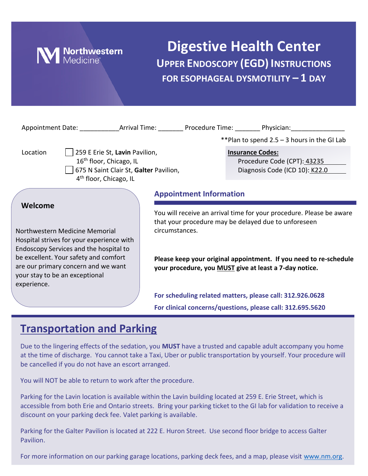

## **Digestive Health Center UPPER ENDOSCOPY (EGD) INSTRUCTIONS FOR ESOPHAGEAL DYSMOTILITY – 1 DAY**

| Appointment Date: Arrival Time: Procedure Time: Physician:                                                                                                                                                                                                        |  |                                                                                                                                                                                                                                                                               |                                                               |                                               |
|-------------------------------------------------------------------------------------------------------------------------------------------------------------------------------------------------------------------------------------------------------------------|--|-------------------------------------------------------------------------------------------------------------------------------------------------------------------------------------------------------------------------------------------------------------------------------|---------------------------------------------------------------|-----------------------------------------------|
|                                                                                                                                                                                                                                                                   |  |                                                                                                                                                                                                                                                                               |                                                               | **Plan to spend $2.5 - 3$ hours in the GI Lab |
| 259 E Erie St, Lavin Pavilion,<br>Location<br>16 <sup>th</sup> floor, Chicago, IL<br>675 N Saint Clair St, Galter Pavilion,<br>4 <sup>th</sup> floor, Chicago, IL                                                                                                 |  | <b>Insurance Codes:</b>                                                                                                                                                                                                                                                       | Procedure Code (CPT): 43235<br>Diagnosis Code (ICD 10): K22.0 |                                               |
|                                                                                                                                                                                                                                                                   |  | <b>Appointment Information</b>                                                                                                                                                                                                                                                |                                                               |                                               |
| Welcome<br>Northwestern Medicine Memorial<br>Hospital strives for your experience with<br>Endoscopy Services and the hospital to<br>be excellent. Your safety and comfort<br>are our primary concern and we want<br>your stay to be an exceptional<br>experience. |  | You will receive an arrival time for your procedure. Please be aware<br>that your procedure may be delayed due to unforeseen<br>circumstances.<br>Please keep your original appointment. If you need to re-schedule<br>your procedure, you MUST give at least a 7-day notice. |                                                               |                                               |
|                                                                                                                                                                                                                                                                   |  | For scheduling related matters, please call: 312.926.0628<br>For clinical concerns/questions, please call: 312.695.5620                                                                                                                                                       |                                                               |                                               |
|                                                                                                                                                                                                                                                                   |  |                                                                                                                                                                                                                                                                               |                                                               |                                               |

### **Transportation and Parking**

Due to the lingering effects of the sedation, you **MUST** have a trusted and capable adult accompany you home at the time of discharge. You cannot take a Taxi, Uber or public transportation by yourself. Your procedure will be cancelled if you do not have an escort arranged.

You will NOT be able to return to work after the procedure.

Parking for the Lavin location is available within the Lavin building located at 259 E. Erie Street, which is accessible from both Erie and Ontario streets. Bring your parking ticket to the GI lab for validation to receive a discount on your parking deck fee. Valet parking is available.

Parking for the Galter Pavilion is located at 222 E. Huron Street. Use second floor bridge to access Galter Pavilion.

For more information on our parking garage locations, parking deck fees, and a map, please visit [www.nm.org.](http://www.nm.org/)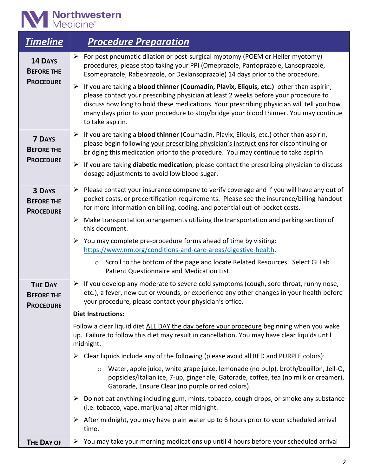# **M** Northwestern

| <b>Timeline</b>                                         | <b>Procedure Preparation</b>                                                                                                                                                                                                                                                                                                                                                                             |
|---------------------------------------------------------|----------------------------------------------------------------------------------------------------------------------------------------------------------------------------------------------------------------------------------------------------------------------------------------------------------------------------------------------------------------------------------------------------------|
| <b>14 DAYS</b><br><b>BEFORE THE</b>                     | > For post pneumatic dilation or post-surgical myotomy (POEM or Heller myotomy)<br>procedures, please stop taking your PPI (Omeprazole, Pantoprazole, Lansoprazole,<br>Esomeprazole, Rabeprazole, or Dexlansoprazole) 14 days prior to the procedure.                                                                                                                                                    |
| <b>PROCEDURE</b>                                        | $\triangleright$ If you are taking a blood thinner (Coumadin, Plavix, Eliquis, etc.) other than aspirin,<br>please contact your prescribing physician at least 2 weeks before your procedure to<br>discuss how long to hold these medications. Your prescribing physician will tell you how<br>many days prior to your procedure to stop/bridge your blood thinner. You may continue<br>to take aspirin. |
| <b>7 DAYS</b><br><b>BEFORE THE</b>                      | $\triangleright$ If you are taking a <b>blood thinner</b> (Coumadin, Plavix, Eliquis, etc.) other than aspirin,<br>please begin following your prescribing physician's instructions for discontinuing or<br>bridging this medication prior to the procedure. You may continue to take aspirin.                                                                                                           |
| <b>PROCEDURE</b>                                        | If you are taking diabetic medication, please contact the prescribing physician to discuss<br>➤<br>dosage adjustments to avoid low blood sugar.                                                                                                                                                                                                                                                          |
| <b>3 DAYS</b><br><b>BEFORE THE</b><br><b>PROCEDURE</b>  | $\triangleright$ Please contact your insurance company to verify coverage and if you will have any out of<br>pocket costs, or precertification requirements. Please see the insurance/billing handout<br>for more information on billing, coding, and potential out-of-pocket costs.                                                                                                                     |
|                                                         | $\triangleright$ Make transportation arrangements utilizing the transportation and parking section of<br>this document.                                                                                                                                                                                                                                                                                  |
|                                                         | $\triangleright$ You may complete pre-procedure forms ahead of time by visiting:<br>https://www.nm.org/conditions-and-care-areas/digestive-health.                                                                                                                                                                                                                                                       |
|                                                         | Scroll to the bottom of the page and locate Related Resources. Select GI Lab<br>$\circ$<br>Patient Questionnaire and Medication List.                                                                                                                                                                                                                                                                    |
| <b>THE DAY</b><br><b>BEFORE THE</b><br><b>PROCEDURE</b> | $\triangleright$ If you develop any moderate to severe cold symptoms (cough, sore throat, runny nose,<br>etc.), a fever, new cut or wounds, or experience any other changes in your health before<br>your procedure, please contact your physician's office.<br><b>Diet Instructions:</b>                                                                                                                |
|                                                         | Follow a clear liquid diet ALL DAY the day before your procedure beginning when you wake<br>up. Failure to follow this diet may result in cancellation. You may have clear liquids until<br>midnight.                                                                                                                                                                                                    |
|                                                         | Clear liquids include any of the following (please avoid all RED and PURPLE colors):<br>➤                                                                                                                                                                                                                                                                                                                |
|                                                         | Water, apple juice, white grape juice, lemonade (no pulp), broth/bouillon, Jell-O,<br>$\circ$<br>popsicles/Italian ice, 7-up, ginger ale, Gatorade, coffee, tea (no milk or creamer),<br>Gatorade, Ensure Clear (no purple or red colors).                                                                                                                                                               |
|                                                         | Do not eat anything including gum, mints, tobacco, cough drops, or smoke any substance<br>(i.e. tobacco, vape, marijuana) after midnight.                                                                                                                                                                                                                                                                |
|                                                         | After midnight, you may have plain water up to 6 hours prior to your scheduled arrival<br>➤<br>time.                                                                                                                                                                                                                                                                                                     |
| <b>THE DAY OF</b>                                       | You may take your morning medications up until 4 hours before your scheduled arrival<br>➤                                                                                                                                                                                                                                                                                                                |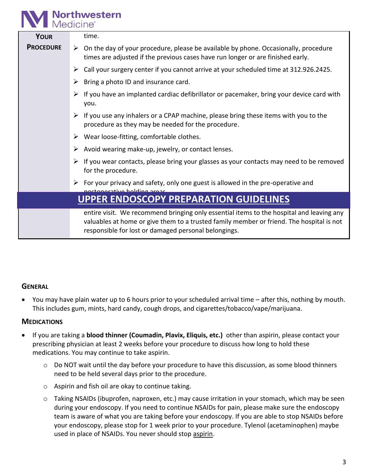## **Northwestern**<br>Medicine®

| <b>YOUR</b>      | time.                                                                                                                                                                                                                                        |
|------------------|----------------------------------------------------------------------------------------------------------------------------------------------------------------------------------------------------------------------------------------------|
| <b>PROCEDURE</b> | $\triangleright$ On the day of your procedure, please be available by phone. Occasionally, procedure<br>times are adjusted if the previous cases have run longer or are finished early.                                                      |
|                  | Call your surgery center if you cannot arrive at your scheduled time at 312.926.2425.<br>➤                                                                                                                                                   |
|                  | Bring a photo ID and insurance card.<br>➤                                                                                                                                                                                                    |
|                  | If you have an implanted cardiac defibrillator or pacemaker, bring your device card with<br>➤<br>you.                                                                                                                                        |
|                  | If you use any inhalers or a CPAP machine, please bring these items with you to the<br>➤<br>procedure as they may be needed for the procedure.                                                                                               |
|                  | $\triangleright$ Wear loose-fitting, comfortable clothes.                                                                                                                                                                                    |
|                  | Avoid wearing make-up, jewelry, or contact lenses.<br>➤                                                                                                                                                                                      |
|                  | If you wear contacts, please bring your glasses as your contacts may need to be removed<br>➤<br>for the procedure.                                                                                                                           |
|                  | $\triangleright$ For your privacy and safety, only one guest is allowed in the pre-operative and<br>noctonorativo holding aroac                                                                                                              |
|                  | <b>UPPER ENDOSCOPY PREPARATION GUIDELINES</b>                                                                                                                                                                                                |
|                  | entire visit. We recommend bringing only essential items to the hospital and leaving any<br>valuables at home or give them to a trusted family member or friend. The hospital is not<br>responsible for lost or damaged personal belongings. |
|                  |                                                                                                                                                                                                                                              |

#### **GENERAL**

• You may have plain water up to 6 hours prior to your scheduled arrival time – after this, nothing by mouth. This includes gum, mints, hard candy, cough drops, and cigarettes/tobacco/vape/marijuana.

#### **MEDICATIONS**

- If you are taking a **blood thinner (Coumadin, Plavix, Eliquis, etc.)** other than aspirin, please contact your prescribing physician at least 2 weeks before your procedure to discuss how long to hold these medications. You may continue to take aspirin.
	- o Do NOT wait until the day before your procedure to have this discussion, as some blood thinners need to be held several days prior to the procedure.
	- o Aspirin and fish oil are okay to continue taking.
	- o Taking NSAIDs (ibuprofen, naproxen, etc.) may cause irritation in your stomach, which may be seen during your endoscopy. If you need to continue NSAIDs for pain, please make sure the endoscopy team is aware of what you are taking before your endoscopy. If you are able to stop NSAIDs before your endoscopy, please stop for 1 week prior to your procedure. Tylenol (acetaminophen) maybe used in place of NSAIDs. You never should stop aspirin.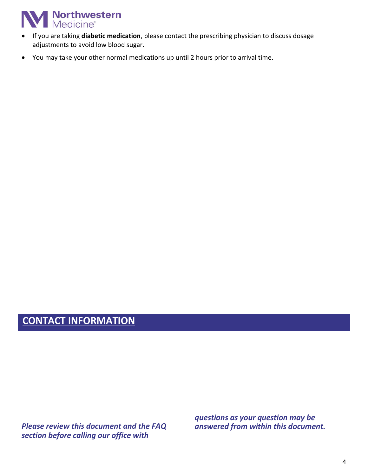## **Northwestern**<br>Medicine®

- If you are taking **diabetic medication**, please contact the prescribing physician to discuss dosage adjustments to avoid low blood sugar.
- You may take your other normal medications up until 2 hours prior to arrival time.

### **CONTACT INFORMATION**

*Please review this document and the FAQ section before calling our office with* 

*questions as your question may be answered from within this document.*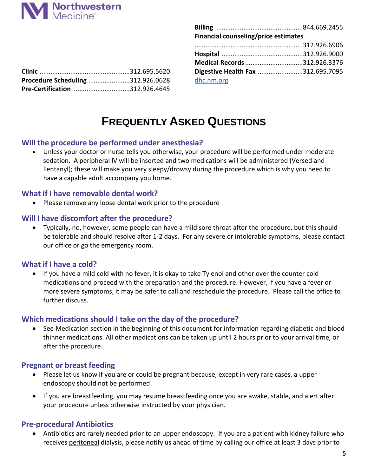

| Financial counseling/price estimates |  |  |  |  |
|--------------------------------------|--|--|--|--|
|                                      |  |  |  |  |
|                                      |  |  |  |  |
| Medical Records 312.926.3376         |  |  |  |  |
| Digestive Health Fax 312.695.7095    |  |  |  |  |
| dhc.nm.org                           |  |  |  |  |

| Procedure Scheduling 312.926.0628 |  |
|-----------------------------------|--|
| Pre-Certification 312.926.4645    |  |

### **FREQUENTLY ASKED QUESTIONS**

#### **Will the procedure be performed under anesthesia?**

• Unless your doctor or nurse tells you otherwise, your procedure will be performed under moderate sedation. A peripheral IV will be inserted and two medications will be administered (Versed and Fentanyl); these will make you very sleepy/drowsy during the procedure which is why you need to have a capable adult accompany you home.

#### **What if I have removable dental work?**

• Please remove any loose dental work prior to the procedure

#### **Will I have discomfort after the procedure?**

• Typically, no, however, some people can have a mild sore throat after the procedure, but this should be tolerable and should resolve after 1-2 days. For any severe or intolerable symptoms, please contact our office or go the emergency room.

#### **What if I have a cold?**

• If you have a mild cold with no fever, it is okay to take Tylenol and other over the counter cold medications and proceed with the preparation and the procedure. However, if you have a fever or more severe symptoms, it may be safer to call and reschedule the procedure. Please call the office to further discuss.

#### **Which medications should I take on the day of the procedure?**

• See Medication section in the beginning of this document for information regarding diabetic and blood thinner medications. All other medications can be taken up until 2 hours prior to your arrival time, or after the procedure.

#### **Pregnant or breast feeding**

- Please let us know if you are or could be pregnant because, except in very rare cases, a upper endoscopy should not be performed.
- If you are breastfeeding, you may resume breastfeeding once you are awake, stable, and alert after your procedure unless otherwise instructed by your physician.

#### **Pre-procedural Antibiotics**

• Antibiotics are rarely needed prior to an upper endoscopy. If you are a patient with kidney failure who receives peritoneal dialysis, please notify us ahead of time by calling our office at least 3 days prior to